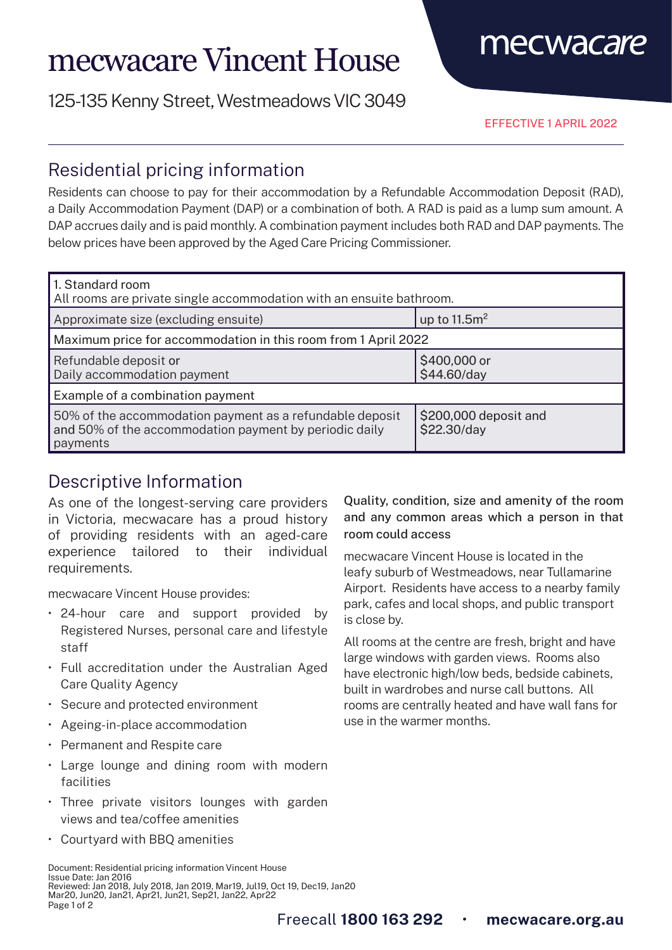# mecwacare Vincent House

125-135 Kenny Street, Westmeadows VIC 3049

EFFECTIVE 1 APRIL 2022

mecwacare

### Residential pricing information

Residents can choose to pay for their accommodation by a Refundable Accommodation Deposit (RAD), a Daily Accommodation Payment (DAP) or a combination of both. A RAD is paid as a lump sum amount. A DAP accrues daily and is paid monthly. A combination payment includes both RAD and DAP payments. The below prices have been approved by the Aged Care Pricing Commissioner.

| 1. Standard room<br>All rooms are private single accommodation with an ensuite bathroom.                                       |                                      |
|--------------------------------------------------------------------------------------------------------------------------------|--------------------------------------|
| Approximate size (excluding ensuite)                                                                                           | up to $11.5m2$                       |
| Maximum price for accommodation in this room from 1 April 2022                                                                 |                                      |
| Refundable deposit or<br>Daily accommodation payment                                                                           | \$400,000 or<br>\$44.60/day          |
| Example of a combination payment                                                                                               |                                      |
| 50% of the accommodation payment as a refundable deposit<br>and 50% of the accommodation payment by periodic daily<br>payments | \$200,000 deposit and<br>\$22.30/day |

## Descriptive Information

As one of the longest-serving care providers in Victoria, mecwacare has a proud history of providing residents with an aged-care experience tailored to their individual requirements.

mecwacare Vincent House provides:

- 24-hour care and support provided by Registered Nurses, personal care and lifestyle staff
- Full accreditation under the Australian Aged Care Quality Agency
- Secure and protected environment
- Ageing-in-place accommodation
- Permanent and Respite care
- Large lounge and dining room with modern facilities
- Three private visitors lounges with garden views and tea/coffee amenities
- Courtyard with BBQ amenities

Document: Residential pricing information Vincent House Issue Date: Jan 2016 Reviewed: Jan 2018, July 2018, Jan 2019, Mar19, Jul19, Oct 19, Dec19, Jan20 Mar20, Jun20, Jan21, Apr21, Jun21, Sep21, Jan22, Apr22 Page 1 of 2

Quality, condition, size and amenity of the room and any common areas which a person in that room could access

mecwacare Vincent House is located in the leafy suburb of Westmeadows, near Tullamarine Airport. Residents have access to a nearby family park, cafes and local shops, and public transport is close by.

All rooms at the centre are fresh, bright and have large windows with garden views. Rooms also have electronic high/low beds, bedside cabinets, built in wardrobes and nurse call buttons. All rooms are centrally heated and have wall fans for use in the warmer months.